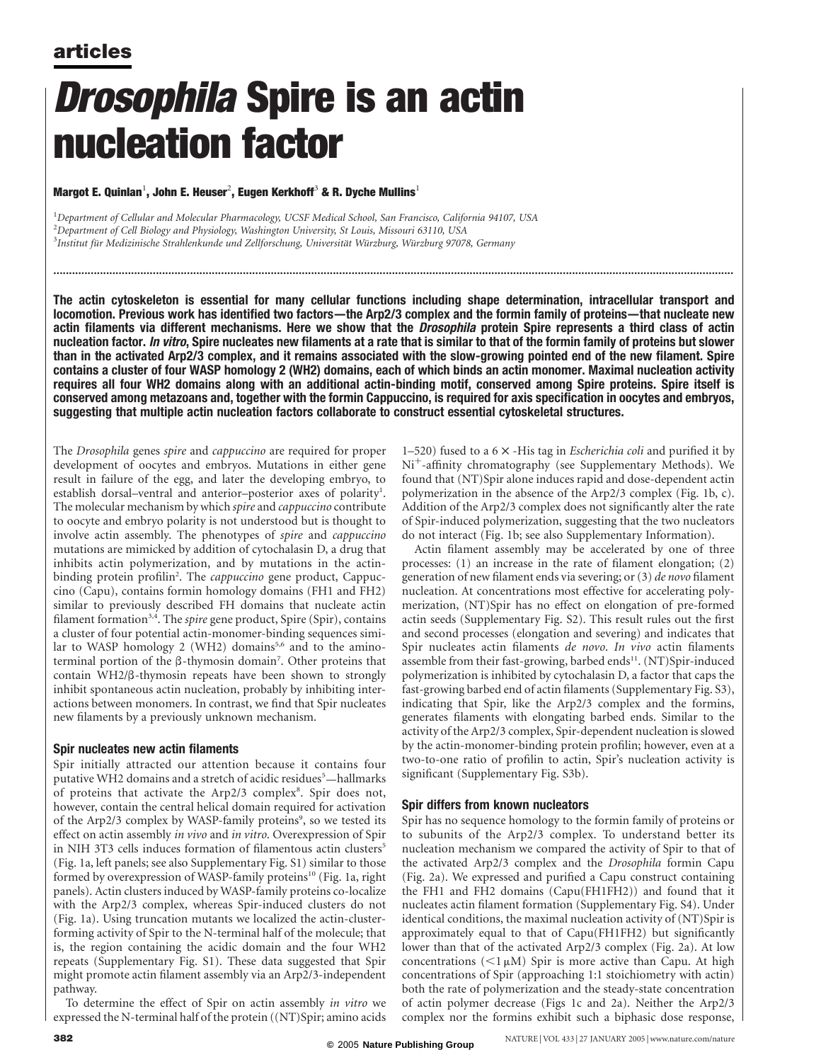# Drosophila Spire is an actin nucleation factor

### Margot E. Quinlan $^1$ , John E. Heuser $^2$ , Eugen Kerkhoff $^3$  & R. Dyche Mullins $^1$

<sup>1</sup>Department of Cellular and Molecular Pharmacology, UCSF Medical School, San Francisco, California 94107, USA 2 Department of Cell Biology and Physiology, Washington University, St Louis, Missouri 63110, USA <sup>3</sup>Institut für Medizinische Strahlenkunde und Zellforschung, Universität Würzburg, Würzburg 97078, Germany

The actin cytoskeleton is essential for many cellular functions including shape determination, intracellular transport and locomotion. Previous work has identified two factors—the Arp2/3 complex and the formin family of proteins—that nucleate new actin filaments via different mechanisms. Here we show that the *Drosophila* protein Spire represents a third class of actin nucleation factor. *In vitro*, Spire nucleates new filaments at a rate that is similar to that of the formin family of proteins but slower than in the activated Arp2/3 complex, and it remains associated with the slow-growing pointed end of the new filament. Spire contains a cluster of four WASP homology 2 (WH2) domains, each of which binds an actin monomer. Maximal nucleation activity requires all four WH2 domains along with an additional actin-binding motif, conserved among Spire proteins. Spire itself is conserved among metazoans and, together with the formin Cappuccino, is required for axis specification in oocytes and embryos, suggesting that multiple actin nucleation factors collaborate to construct essential cytoskeletal structures.

...........................................................................................................................................................................................................................

The Drosophila genes spire and cappuccino are required for proper development of oocytes and embryos. Mutations in either gene result in failure of the egg, and later the developing embryo, to establish dorsal-ventral and anterior-posterior axes of polarity<sup>1</sup>. The molecular mechanism by which spire and cappuccino contribute to oocyte and embryo polarity is not understood but is thought to involve actin assembly. The phenotypes of spire and cappuccino mutations are mimicked by addition of cytochalasin D, a drug that inhibits actin polymerization, and by mutations in the actinbinding protein profilin<sup>2</sup>. The cappuccino gene product, Cappuccino (Capu), contains formin homology domains (FH1 and FH2) similar to previously described FH domains that nucleate actin filament formation<sup>3,4</sup>. The *spire* gene product, Spire (Spir), contains a cluster of four potential actin-monomer-binding sequences similar to WASP homology 2 (WH2) domains<sup>5,6</sup> and to the aminoterminal portion of the  $\beta$ -thymosin domain<sup>7</sup>. Other proteins that contain  $WH2/\beta$ -thymosin repeats have been shown to strongly inhibit spontaneous actin nucleation, probably by inhibiting interactions between monomers. In contrast, we find that Spir nucleates new filaments by a previously unknown mechanism.

### Spir nucleates new actin filaments

Spir initially attracted our attention because it contains four putative WH2 domains and a stretch of acidic residues<sup>5</sup>—hallmarks of proteins that activate the Arp2/3 complex<sup>8</sup>. Spir does not, however, contain the central helical domain required for activation of the Arp2/3 complex by WASP-family proteins<sup>9</sup>, so we tested its effect on actin assembly in vivo and in vitro. Overexpression of Spir in NIH 3T3 cells induces formation of filamentous actin clusters<sup>5</sup> (Fig. 1a, left panels; see also Supplementary Fig. S1) similar to those formed by overexpression of WASP-family proteins<sup>10</sup> (Fig. 1a, right panels). Actin clusters induced by WASP-family proteins co-localize with the Arp2/3 complex, whereas Spir-induced clusters do not (Fig. 1a). Using truncation mutants we localized the actin-clusterforming activity of Spir to the N-terminal half of the molecule; that is, the region containing the acidic domain and the four WH2 repeats (Supplementary Fig. S1). These data suggested that Spir might promote actin filament assembly via an Arp2/3-independent pathway.

To determine the effect of Spir on actin assembly in vitro we expressed the N-terminal half of the protein ((NT)Spir; amino acids 1–520) fused to a  $6 \times$  -His tag in *Escherichia coli* and purified it by Ni<sup>+</sup>-affinity chromatography (see Supplementary Methods). We found that (NT)Spir alone induces rapid and dose-dependent actin polymerization in the absence of the Arp2/3 complex (Fig. 1b, c). Addition of the Arp2/3 complex does not significantly alter the rate of Spir-induced polymerization, suggesting that the two nucleators do not interact (Fig. 1b; see also Supplementary Information).

Actin filament assembly may be accelerated by one of three processes: (1) an increase in the rate of filament elongation; (2) generation of new filament ends via severing; or (3) de novo filament nucleation. At concentrations most effective for accelerating polymerization, (NT)Spir has no effect on elongation of pre-formed actin seeds (Supplementary Fig. S2). This result rules out the first and second processes (elongation and severing) and indicates that Spir nucleates actin filaments de novo. In vivo actin filaments assemble from their fast-growing, barbed ends<sup>11</sup>. (NT)Spir-induced polymerization is inhibited by cytochalasin D, a factor that caps the fast-growing barbed end of actin filaments (Supplementary Fig. S3), indicating that Spir, like the Arp2/3 complex and the formins, generates filaments with elongating barbed ends. Similar to the activity of the Arp2/3 complex, Spir-dependent nucleation is slowed by the actin-monomer-binding protein profilin; however, even at a two-to-one ratio of profilin to actin, Spir's nucleation activity is significant (Supplementary Fig. S3b).

### Spir differs from known nucleators

Spir has no sequence homology to the formin family of proteins or to subunits of the Arp2/3 complex. To understand better its nucleation mechanism we compared the activity of Spir to that of the activated Arp2/3 complex and the Drosophila formin Capu (Fig. 2a). We expressed and purified a Capu construct containing the FH1 and FH2 domains (Capu(FH1FH2)) and found that it nucleates actin filament formation (Supplementary Fig. S4). Under identical conditions, the maximal nucleation activity of (NT)Spir is approximately equal to that of Capu(FH1FH2) but significantly lower than that of the activated Arp2/3 complex (Fig. 2a). At low concentrations  $(<1 \mu M)$  Spir is more active than Capu. At high concentrations of Spir (approaching 1:1 stoichiometry with actin) both the rate of polymerization and the steady-state concentration of actin polymer decrease (Figs 1c and 2a). Neither the Arp2/3 complex nor the formins exhibit such a biphasic dose response,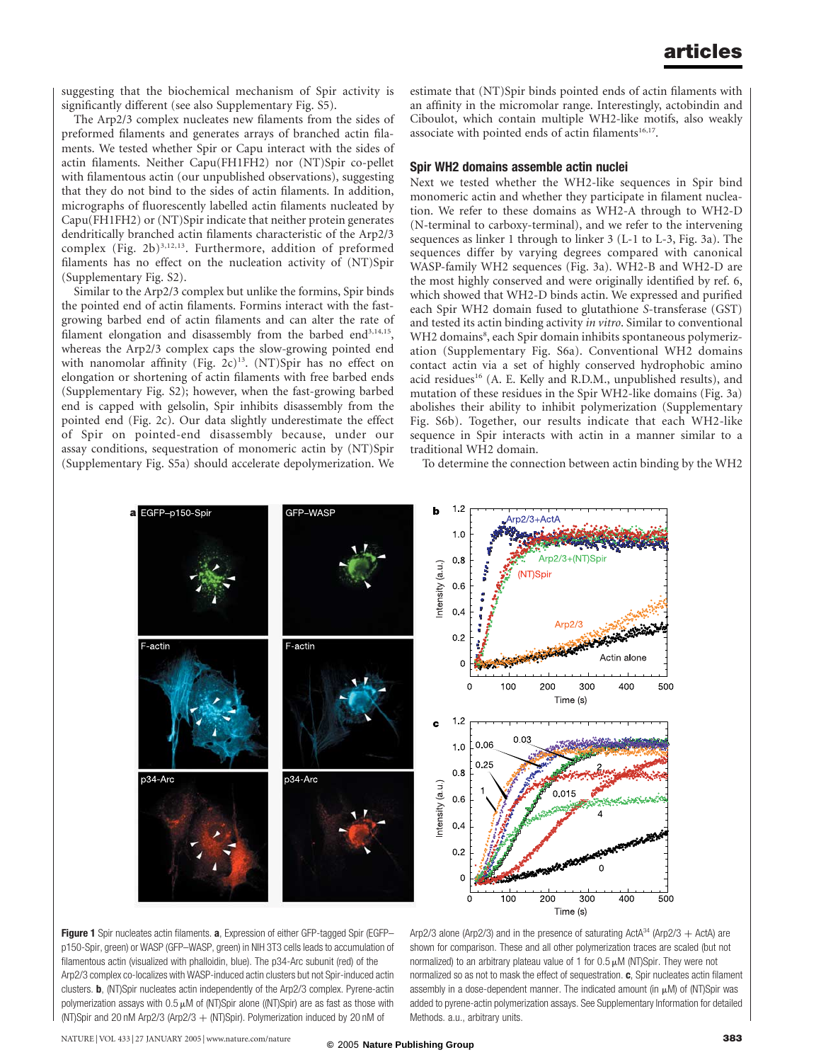suggesting that the biochemical mechanism of Spir activity is significantly different (see also Supplementary Fig. S5).

The Arp2/3 complex nucleates new filaments from the sides of preformed filaments and generates arrays of branched actin filaments. We tested whether Spir or Capu interact with the sides of actin filaments. Neither Capu(FH1FH2) nor (NT)Spir co-pellet with filamentous actin (our unpublished observations), suggesting that they do not bind to the sides of actin filaments. In addition, micrographs of fluorescently labelled actin filaments nucleated by Capu(FH1FH2) or (NT)Spir indicate that neither protein generates dendritically branched actin filaments characteristic of the Arp2/3 complex (Fig. 2b) $^{3,12,13}$ . Furthermore, addition of preformed filaments has no effect on the nucleation activity of (NT)Spir (Supplementary Fig. S2).

Similar to the Arp2/3 complex but unlike the formins, Spir binds the pointed end of actin filaments. Formins interact with the fastgrowing barbed end of actin filaments and can alter the rate of filament elongation and disassembly from the barbed end<sup>3,14,15</sup>, whereas the Arp2/3 complex caps the slow-growing pointed end with nanomolar affinity (Fig. 2c)<sup>13</sup>. (NT)Spir has no effect on elongation or shortening of actin filaments with free barbed ends (Supplementary Fig. S2); however, when the fast-growing barbed end is capped with gelsolin, Spir inhibits disassembly from the pointed end (Fig. 2c). Our data slightly underestimate the effect of Spir on pointed-end disassembly because, under our assay conditions, sequestration of monomeric actin by (NT)Spir (Supplementary Fig. S5a) should accelerate depolymerization. We

estimate that (NT)Spir binds pointed ends of actin filaments with an affinity in the micromolar range. Interestingly, actobindin and Ciboulot, which contain multiple WH2-like motifs, also weakly associate with pointed ends of actin filaments<sup>16,17</sup>.

#### Spir WH2 domains assemble actin nuclei

Next we tested whether the WH2-like sequences in Spir bind monomeric actin and whether they participate in filament nucleation. We refer to these domains as WH2-A through to WH2-D (N-terminal to carboxy-terminal), and we refer to the intervening sequences as linker 1 through to linker 3 (L-1 to L-3, Fig. 3a). The sequences differ by varying degrees compared with canonical WASP-family WH2 sequences (Fig. 3a). WH2-B and WH2-D are the most highly conserved and were originally identified by ref. 6, which showed that WH2-D binds actin. We expressed and purified each Spir WH2 domain fused to glutathione S-transferase (GST) and tested its actin binding activity in vitro. Similar to conventional WH2 domains<sup>8</sup>, each Spir domain inhibits spontaneous polymerization (Supplementary Fig. S6a). Conventional WH2 domains contact actin via a set of highly conserved hydrophobic amino acid residues<sup>16</sup> (A. E. Kelly and R.D.M., unpublished results), and mutation of these residues in the Spir WH2-like domains (Fig. 3a) abolishes their ability to inhibit polymerization (Supplementary Fig. S6b). Together, our results indicate that each WH2-like sequence in Spir interacts with actin in a manner similar to a traditional WH2 domain.

To determine the connection between actin binding by the WH2



Figure 1 Spir nucleates actin filaments. a, Expression of either GFP-tagged Spir (EGFPp150-Spir, green) or WASP (GFP–WASP, green) in NIH 3T3 cells leads to accumulation of filamentous actin (visualized with phalloidin, blue). The p34-Arc subunit (red) of the Arp2/3 complex co-localizes with WASP-induced actin clusters but not Spir-induced actin clusters. b, (NT)Spir nucleates actin independently of the Arp2/3 complex. Pyrene-actin polymerization assays with  $0.5 \mu$ M of (NT)Spir alone ((NT)Spir) are as fast as those with (NT)Spir and 20 nM Arp2/3 (Arp2/3 + (NT)Spir). Polymerization induced by 20 nM of

Arp2/3 alone (Arp2/3) and in the presence of saturating ActA $34$  (Arp2/3  $+$  ActA) are shown for comparison. These and all other polymerization traces are scaled (but not normalized) to an arbitrary plateau value of 1 for  $0.5 \mu$ M (NT)Spir. They were not normalized so as not to mask the effect of sequestration.  $c$ , Spir nucleates actin filament assembly in a dose-dependent manner. The indicated amount (in  $\mu$ M) of (NT)Spir was added to pyrene-actin polymerization assays. See Supplementary Information for detailed Methods. a.u., arbitrary units.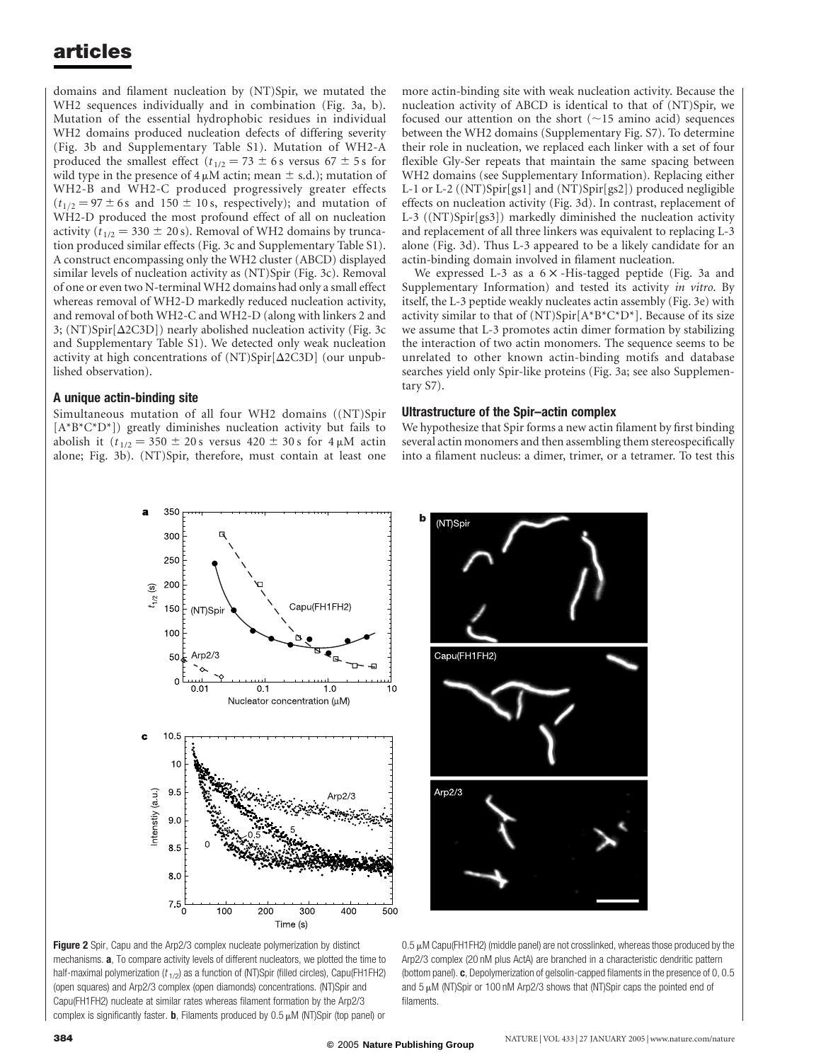domains and filament nucleation by (NT)Spir, we mutated the WH2 sequences individually and in combination (Fig. 3a, b). Mutation of the essential hydrophobic residues in individual WH2 domains produced nucleation defects of differing severity (Fig. 3b and Supplementary Table S1). Mutation of WH2-A produced the smallest effect ( $t_{1/2} = 73 \pm 6$  s versus 67  $\pm$  5 s for wild type in the presence of  $4 \mu$ M actin; mean  $\pm$  s.d.); mutation of WH2-B and WH2-C produced progressively greater effects  $(t_{1/2}=97 \pm 6s$  and 150  $\pm$  10 s, respectively); and mutation of WH2-D produced the most profound effect of all on nucleation activity ( $t_{1/2} = 330 \pm 20$  s). Removal of WH2 domains by truncation produced similar effects (Fig. 3c and Supplementary Table S1). A construct encompassing only the WH2 cluster (ABCD) displayed similar levels of nucleation activity as (NT)Spir (Fig. 3c). Removal of one or even two N-terminal WH2 domains had only a small effect whereas removal of WH2-D markedly reduced nucleation activity, and removal of both WH2-C and WH2-D (along with linkers 2 and 3; (NT)Spir[ $\Delta$ 2C3D]) nearly abolished nucleation activity (Fig. 3c and Supplementary Table S1). We detected only weak nucleation activity at high concentrations of  $(NT)$ Spir $[\Delta 2C3D]$  (our unpublished observation).

### A unique actin-binding site

Simultaneous mutation of all four WH2 domains ((NT)Spir  $[A*B*C*D*])$  greatly diminishes nucleation activity but fails to abolish it ( $t_{1/2} = 350 \pm 20$  s versus  $420 \pm 30$  s for  $4 \mu$ M actin alone; Fig. 3b). (NT)Spir, therefore, must contain at least one more actin-binding site with weak nucleation activity. Because the nucleation activity of ABCD is identical to that of (NT)Spir, we focused our attention on the short  $(\sim 15$  amino acid) sequences between the WH2 domains (Supplementary Fig. S7). To determine their role in nucleation, we replaced each linker with a set of four flexible Gly-Ser repeats that maintain the same spacing between WH2 domains (see Supplementary Information). Replacing either L-1 or L-2 ((NT)Spir[gs1] and (NT)Spir[gs2]) produced negligible effects on nucleation activity (Fig. 3d). In contrast, replacement of L-3 ((NT)Spir[gs3]) markedly diminished the nucleation activity and replacement of all three linkers was equivalent to replacing L-3 alone (Fig. 3d). Thus L-3 appeared to be a likely candidate for an actin-binding domain involved in filament nucleation.

We expressed L-3 as a  $6 \times$  -His-tagged peptide (Fig. 3a and Supplementary Information) and tested its activity in vitro. By itself, the L-3 peptide weakly nucleates actin assembly (Fig. 3e) with activity similar to that of (NT)Spir[ $A*B*C*D*$ ]. Because of its size we assume that L-3 promotes actin dimer formation by stabilizing the interaction of two actin monomers. The sequence seems to be unrelated to other known actin-binding motifs and database searches yield only Spir-like proteins (Fig. 3a; see also Supplementary S7).

#### Ultrastructure of the Spir–actin complex

We hypothesize that Spir forms a new actin filament by first binding several actin monomers and then assembling them stereospecifically into a filament nucleus: a dimer, trimer, or a tetramer. To test this





 $0.5 \mu$ M Capu(FH1FH2) (middle panel) are not crosslinked, whereas those produced by the Arp2/3 complex (20 nM plus ActA) are branched in a characteristic dendritic pattern (bottom panel). c, Depolymerization of gelsolin-capped filaments in the presence of 0, 0.5 and  $5 \mu$ M (NT)Spir or 100 nM Arp2/3 shows that (NT)Spir caps the pointed end of filaments.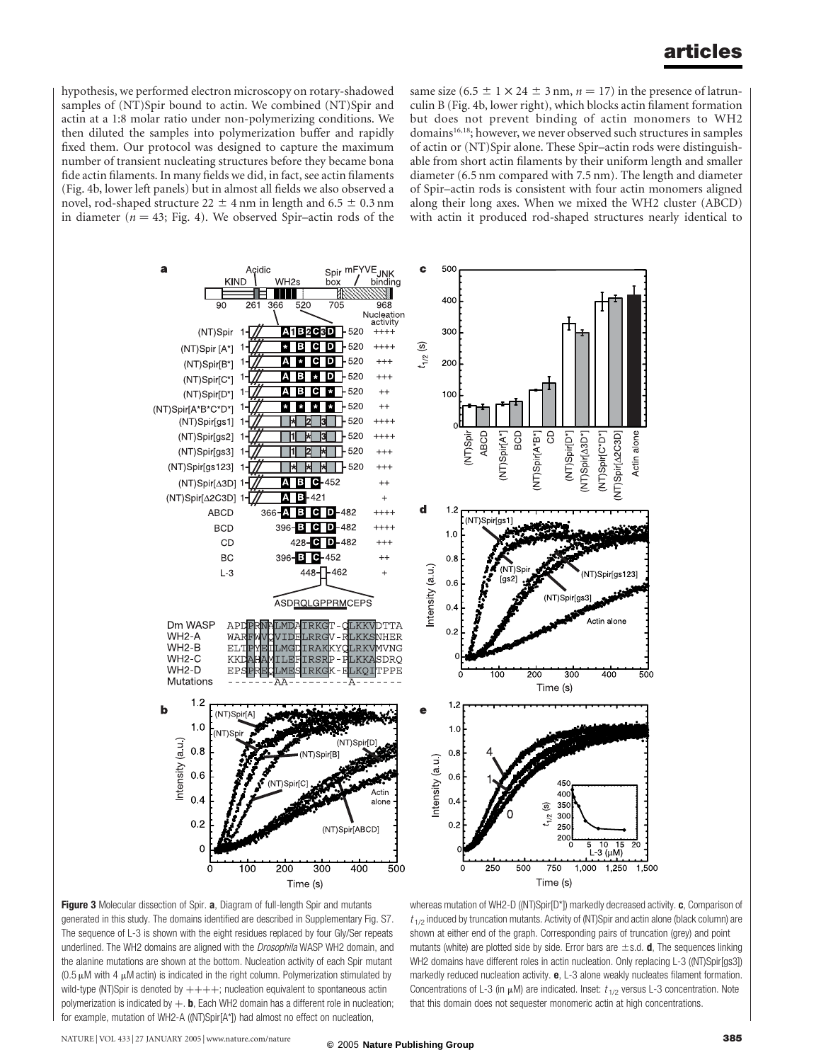hypothesis, we performed electron microscopy on rotary-shadowed samples of (NT)Spir bound to actin. We combined (NT)Spir and actin at a 1:8 molar ratio under non-polymerizing conditions. We then diluted the samples into polymerization buffer and rapidly fixed them. Our protocol was designed to capture the maximum number of transient nucleating structures before they became bona fide actin filaments. In many fields we did, in fact, see actin filaments (Fig. 4b, lower left panels) but in almost all fields we also observed a novel, rod-shaped structure  $22 \pm 4$  nm in length and 6.5  $\pm$  0.3 nm in diameter ( $n = 43$ ; Fig. 4). We observed Spir–actin rods of the same size  $(6.5 \pm 1 \times 24 \pm 3 \text{ nm}, n = 17)$  in the presence of latrunculin B (Fig. 4b, lower right), which blocks actin filament formation but does not prevent binding of actin monomers to WH2 domains<sup>16,18</sup>; however, we never observed such structures in samples of actin or (NT)Spir alone. These Spir–actin rods were distinguishable from short actin filaments by their uniform length and smaller diameter (6.5 nm compared with 7.5 nm). The length and diameter of Spir–actin rods is consistent with four actin monomers aligned along their long axes. When we mixed the WH2 cluster (ABCD) with actin it produced rod-shaped structures nearly identical to





whereas mutation of WH2-D ((NT)Spir[D\*]) markedly decreased activity. c, Comparison of  $t_{1/2}$  induced by truncation mutants. Activity of (NT)Spir and actin alone (black column) are shown at either end of the graph. Corresponding pairs of truncation (grey) and point mutants (white) are plotted side by side. Error bars are  $\pm$ s.d. **d**, The sequences linking WH2 domains have different roles in actin nucleation. Only replacing L-3 ((NT)Spir[gs3]) markedly reduced nucleation activity.  $e$ , L-3 alone weakly nucleates filament formation. Concentrations of L-3 (in  $\mu$ M) are indicated. Inset:  $t_{1/2}$  versus L-3 concentration. Note that this domain does not sequester monomeric actin at high concentrations.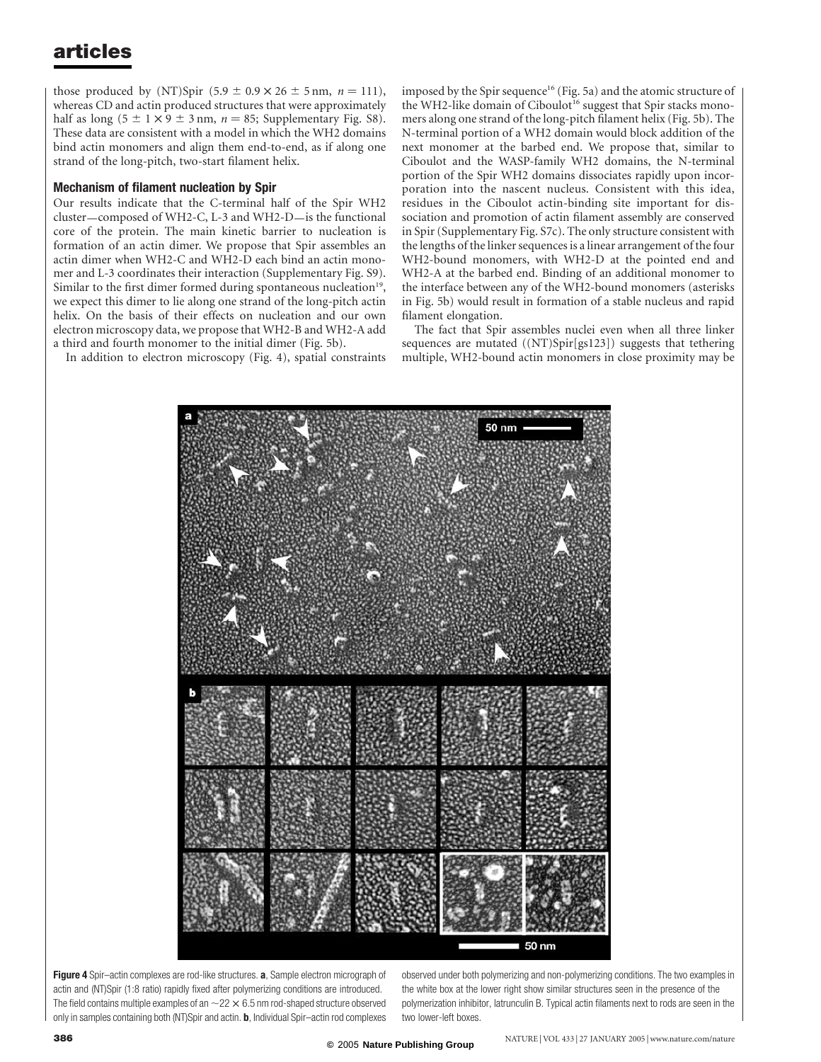those produced by (NT)Spir  $(5.9 \pm 0.9 \times 26 \pm 5 \text{ nm}, n = 111)$ , whereas CD and actin produced structures that were approximately half as long  $(5 \pm 1 \times 9 \pm 3 \text{ nm}, n = 85;$  Supplementary Fig. S8). These data are consistent with a model in which the WH2 domains bind actin monomers and align them end-to-end, as if along one strand of the long-pitch, two-start filament helix.

### Mechanism of filament nucleation by Spir

Our results indicate that the C-terminal half of the Spir WH2 cluster—composed of WH2-C, L-3 and WH2-D—is the functional core of the protein. The main kinetic barrier to nucleation is formation of an actin dimer. We propose that Spir assembles an actin dimer when WH2-C and WH2-D each bind an actin monomer and L-3 coordinates their interaction (Supplementary Fig. S9). Similar to the first dimer formed during spontaneous nucleation<sup>19</sup>, we expect this dimer to lie along one strand of the long-pitch actin helix. On the basis of their effects on nucleation and our own electron microscopy data, we propose that WH2-B and WH2-A add a third and fourth monomer to the initial dimer (Fig. 5b).

In addition to electron microscopy (Fig. 4), spatial constraints

imposed by the Spir sequence<sup>16</sup> (Fig. 5a) and the atomic structure of the WH2-like domain of Ciboulot<sup>16</sup> suggest that Spir stacks monomers along one strand of the long-pitch filament helix (Fig. 5b). The N-terminal portion of a WH2 domain would block addition of the next monomer at the barbed end. We propose that, similar to Ciboulot and the WASP-family WH2 domains, the N-terminal portion of the Spir WH2 domains dissociates rapidly upon incorporation into the nascent nucleus. Consistent with this idea, residues in the Ciboulot actin-binding site important for dissociation and promotion of actin filament assembly are conserved in Spir (Supplementary Fig. S7c). The only structure consistent with the lengths of the linker sequences is a linear arrangement of the four WH2-bound monomers, with WH2-D at the pointed end and WH2-A at the barbed end. Binding of an additional monomer to the interface between any of the WH2-bound monomers (asterisks in Fig. 5b) would result in formation of a stable nucleus and rapid filament elongation.

The fact that Spir assembles nuclei even when all three linker sequences are mutated ((NT)Spir[gs123]) suggests that tethering multiple, WH2-bound actin monomers in close proximity may be



Figure 4 Spir-actin complexes are rod-like structures. a, Sample electron micrograph of actin and (NT)Spir (1:8 ratio) rapidly fixed after polymerizing conditions are introduced. The field contains multiple examples of an  $\sim$  22  $\times$  6.5 nm rod-shaped structure observed only in samples containing both (NT)Spir and actin. b, Individual Spir–actin rod complexes observed under both polymerizing and non-polymerizing conditions. The two examples in the white box at the lower right show similar structures seen in the presence of the polymerization inhibitor, latrunculin B. Typical actin filaments next to rods are seen in the two lower-left boxes.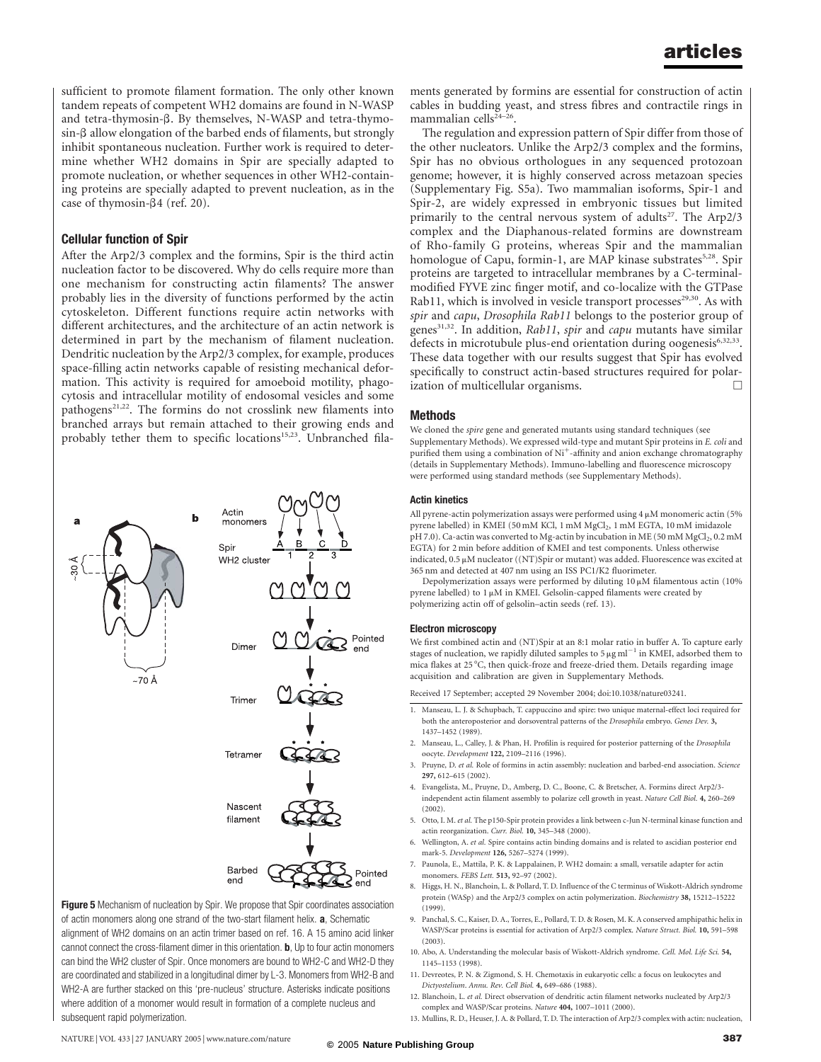sufficient to promote filament formation. The only other known tandem repeats of competent WH2 domains are found in N-WASP and tetra-thymosin- $\beta$ . By themselves, N-WASP and tetra-thymo $sin-*β*$  allow elongation of the barbed ends of filaments, but strongly inhibit spontaneous nucleation. Further work is required to determine whether WH2 domains in Spir are specially adapted to promote nucleation, or whether sequences in other WH2-containing proteins are specially adapted to prevent nucleation, as in the case of thymosin- $\beta$ 4 (ref. 20).

### Cellular function of Spir

After the Arp2/3 complex and the formins, Spir is the third actin nucleation factor to be discovered. Why do cells require more than one mechanism for constructing actin filaments? The answer probably lies in the diversity of functions performed by the actin cytoskeleton. Different functions require actin networks with different architectures, and the architecture of an actin network is determined in part by the mechanism of filament nucleation. Dendritic nucleation by the Arp2/3 complex, for example, produces space-filling actin networks capable of resisting mechanical deformation. This activity is required for amoeboid motility, phagocytosis and intracellular motility of endosomal vesicles and some pathogens<sup>21,22</sup>. The formins do not crosslink new filaments into branched arrays but remain attached to their growing ends and probably tether them to specific locations<sup>15,23</sup>. Unbranched fila-



Figure 5 Mechanism of nucleation by Spir. We propose that Spir coordinates association of actin monomers along one strand of the two-start filament helix. a, Schematic alignment of WH2 domains on an actin trimer based on ref. 16. A 15 amino acid linker cannot connect the cross-filament dimer in this orientation. b, Up to four actin monomers can bind the WH2 cluster of Spir. Once monomers are bound to WH2-C and WH2-D they are coordinated and stabilized in a longitudinal dimer by L-3. Monomers from WH2-B and WH2-A are further stacked on this 'pre-nucleus' structure. Asterisks indicate positions where addition of a monomer would result in formation of a complete nucleus and subsequent rapid polymerization.

ments generated by formins are essential for construction of actin cables in budding yeast, and stress fibres and contractile rings in mammalian cells $24-26$ .

The regulation and expression pattern of Spir differ from those of the other nucleators. Unlike the Arp2/3 complex and the formins, Spir has no obvious orthologues in any sequenced protozoan genome; however, it is highly conserved across metazoan species (Supplementary Fig. S5a). Two mammalian isoforms, Spir-1 and Spir-2, are widely expressed in embryonic tissues but limited primarily to the central nervous system of adults<sup>27</sup>. The Arp2/3 complex and the Diaphanous-related formins are downstream of Rho-family G proteins, whereas Spir and the mammalian homologue of Capu, formin-1, are MAP kinase substrates<sup>5,28</sup>. Spir proteins are targeted to intracellular membranes by a C-terminalmodified FYVE zinc finger motif, and co-localize with the GTPase Rab11, which is involved in vesicle transport processes<sup>29,30</sup>. As with spir and capu, Drosophila Rab11 belongs to the posterior group of genes<sup>31,32</sup>. In addition, Rab11, spir and capu mutants have similar defects in microtubule plus-end orientation during oogenesis<sup>6,32,33</sup>. These data together with our results suggest that Spir has evolved specifically to construct actin-based structures required for polarization of multicellular organisms.

#### Methods

We cloned the spire gene and generated mutants using standard techniques (see Supplementary Methods). We expressed wild-type and mutant Spir proteins in E. coli and purified them using a combination of Ni<sup>+</sup>-affinity and anion exchange chromatography (details in Supplementary Methods). Immuno-labelling and fluorescence microscopy were performed using standard methods (see Supplementary Methods).

#### Actin kinetics

All pyrene-actin polymerization assays were performed using  $4 \mu$ M monomeric actin (5%) pyrene labelled) in KMEI (50 mM KCl, 1 mM MgCl<sub>2</sub>, 1 mM EGTA, 10 mM imidazole pH 7.0). Ca-actin was converted to Mg-actin by incubation in ME (50 mM MgCl<sub>2</sub>, 0.2 mM EGTA) for 2 min before addition of KMEI and test components. Unless otherwise indicated,  $0.5 \mu$ M nucleator ((NT)Spir or mutant) was added. Fluorescence was excited at 365 nm and detected at 407 nm using an ISS PC1/K2 fluorimeter.

Depolymerization assays were performed by diluting  $10 \mu$ M filamentous actin (10%) pyrene labelled) to  $1 \mu$ M in KMEI. Gelsolin-capped filaments were created by polymerizing actin off of gelsolin–actin seeds (ref. 13).

#### Electron microscopy

We first combined actin and (NT)Spir at an 8:1 molar ratio in buffer A. To capture early stages of nucleation, we rapidly diluted samples to  $5 \mu g$  ml<sup>-1</sup> in KMEI, adsorbed them to mica flakes at 25 °C, then quick-froze and freeze-dried them. Details regarding image acquisition and calibration are given in Supplementary Methods.

Received 17 September; accepted 29 November 2004; doi:10.1038/nature03241.

- 1. Manseau, L. J. & Schupbach, T. cappuccino and spire: two unique maternal-effect loci required for both the anteroposterior and dorsoventral patterns of the Drosophila embryo. Genes Dev. 3 1437–1452 (1989).
- 2. Manseau, L., Calley, J. & Phan, H. Profilin is required for posterior patterning of the Drosophila oocyte. Development 122, 2109–2116 (1996).
- 3. Pruyne, D. et al. Role of formins in actin assembly: nucleation and barbed-end association. Science 297, 612–615 (2002).
- 4. Evangelista, M., Pruyne, D., Amberg, D. C., Boone, C. & Bretscher, A. Formins direct Arp2/3 independent actin filament assembly to polarize cell growth in yeast. Nature Cell Biol. 4, 260–269  $(2002)$
- 5. Otto, I. M. et al. The p150-Spir protein provides a link between c-Jun N-terminal kinase function and actin reorganization. Curr. Biol. 10, 345–348 (2000).
- Wellington, A. et al. Spire contains actin binding domains and is related to ascidian posterior end mark-5. Development 126, 5267–5274 (1999).
- 7. Paunola, E., Mattila, P. K. & Lappalainen, P. WH2 domain: a small, versatile adapter for actin monomers. FEBS Lett. 513, 92–97 (2002).
- 8. Higgs, H. N., Blanchoin, L. & Pollard, T. D. Influence of the C terminus of Wiskott-Aldrich syndrome protein (WASp) and the Arp2/3 complex on actin polymerization. Biochemistry 38, 15212–15222 (1999).
- 9. Panchal, S. C., Kaiser, D. A., Torres, E., Pollard, T. D. & Rosen, M. K. A conserved amphipathic helix in WASP/Scar proteins is essential for activation of Arp2/3 complex. Nature Struct. Biol. 10, 591–598 (2003).
- 10. Abo, A. Understanding the molecular basis of Wiskott-Aldrich syndrome. Cell. Mol. Life Sci. 54, 1145–1153 (1998).
- 11. Devreotes, P. N. & Zigmond, S. H. Chemotaxis in eukaryotic cells: a focus on leukocytes and Dictyostelium. Annu. Rev. Cell Biol. 4, 649–686 (1988).
- 12. Blanchoin, L. et al. Direct observation of dendritic actin filament networks nucleated by Arp2/3 complex and WASP/Scar proteins. Nature 404, 1007–1011 (2000).
- 13. Mullins, R. D., Heuser, J. A. & Pollard, T. D. The interaction of Arp2/3 complex with actin: nucleation,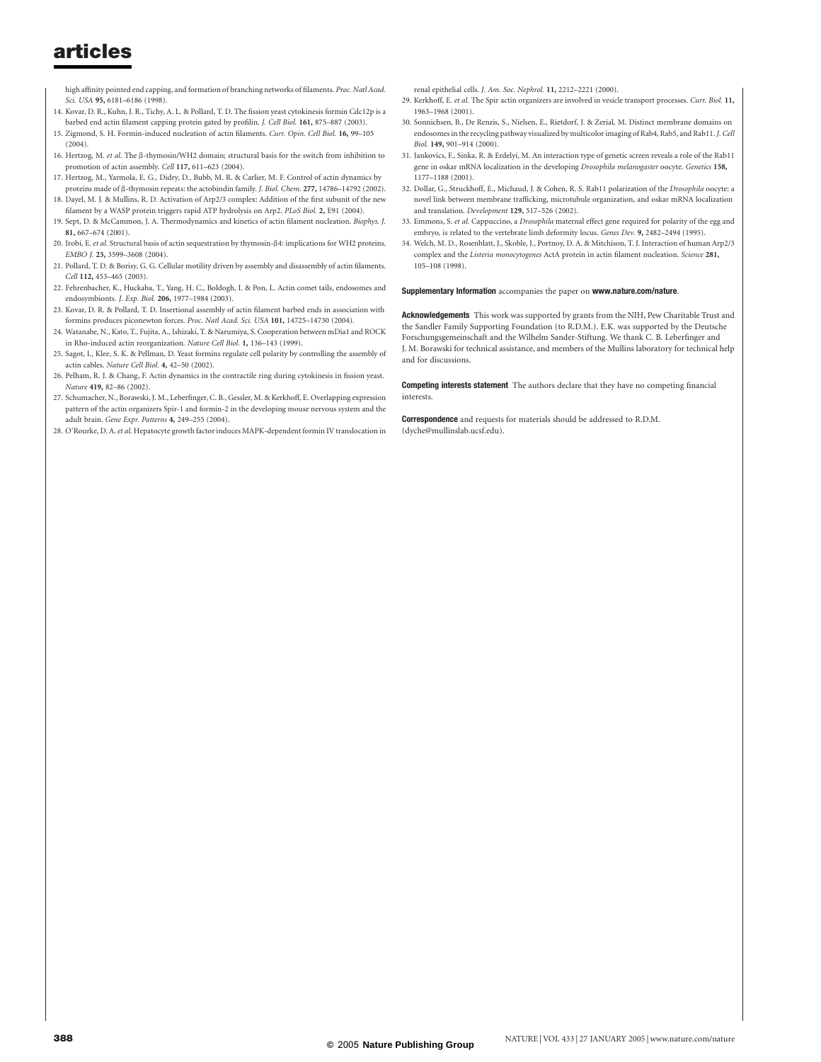high affinity pointed end capping, and formation of branching networks of filaments. Proc. Natl Acad. Sci. USA 95, 6181–6186 (1998).

- 14. Kovar, D. R., Kuhn, J. R., Tichy, A. L. & Pollard, T. D. The fission yeast cytokinesis formin Cdc12p is a barbed end actin filament capping protein gated by profilin. J. Cell Biol. 161, 875–887 (2003).
- 15. Zigmond, S. H. Formin-induced nucleation of actin filaments. Curr. Opin. Cell Biol. 16, 99–105  $(2004)$
- 16. Hertzog, M. et al. The β-thymosin/WH2 domain; structural basis for the switch from inhibition to promotion of actin assembly. Cell 117, 611–623 (2004).
- 17. Hertzog, M., Yarmola, E. G., Didry, D., Bubb, M. R. & Carlier, M. F. Control of actin dynamics by proteins made of b-thymosin repeats: the actobindin family. J. Biol. Chem. 277, 14786–14792 (2002). 18. Dayel, M. J. & Mullins, R. D. Activation of Arp2/3 complex: Addition of the first subunit of the new
- filament by a WASP protein triggers rapid ATP hydrolysis on Arp2. PLoS Biol. 2, E91 (2004). 19. Sept, D. & McCammon, J. A. Thermodynamics and kinetics of actin filament nucleation. Biophys. J.
- 81, 667–674 (2001).
- 20. Irobi, E. et al. Structural basis of actin sequestration by thymosin- $\beta$ 4: implications for WH2 proteins. EMBO J. 23, 3599–3608 (2004).
- 21. Pollard, T. D. & Borisy, G. G. Cellular motility driven by assembly and disassembly of actin filaments. Cell 112, 453–465 (2003).
- 22. Fehrenbacher, K., Huckaba, T., Yang, H. C., Boldogh, I. & Pon, L. Actin comet tails, endosomes and endosymbionts. J. Exp. Biol. 206, 1977–1984 (2003).
- 23. Kovar, D. R. & Pollard, T. D. Insertional assembly of actin filament barbed ends in association with formins produces piconewton forces. Proc. Natl Acad. Sci. USA 101, 14725–14730 (2004).
- 24. Watanabe, N., Kato, T., Fujita, A., Ishizaki, T. & Narumiya, S. Cooperation between mDia1 and ROCK in Rho-induced actin reorganization. Nature Cell Biol. 1, 136–143 (1999).
- 25. Sagot, I., Klee, S. K. & Pellman, D. Yeast formins regulate cell polarity by controlling the assembly of actin cables. Nature Cell Biol. 4, 42–50 (2002).
- 26. Pelham, R. J. & Chang, F. Actin dynamics in the contractile ring during cytokinesis in fission yeast. Nature 419, 82–86 (2002).
- 27. Schumacher, N., Borawski, J. M., Leberfinger, C. B., Gessler, M. & Kerkhoff, E. Overlapping expression pattern of the actin organizers Spir-1 and formin-2 in the developing mouse nervous system and the adult brain. Gene Expr. Patterns 4, 249–255 (2004).
- 28. O'Rourke, D. A. et al. Hepatocyte growth factor induces MAPK-dependent formin IV translocation in

renal epithelial cells. J. Am. Soc. Nephrol. 11, 2212–2221 (2000).

- 29. Kerkhoff, E. et al. The Spir actin organizers are involved in vesicle transport processes. Curr. Biol. 11, 1963–1968 (2001).
- 30. Sonnichsen, B., De Renzis, S., Nielsen, E., Rietdorf, J. & Zerial, M. Distinct membrane domains on endosomes in the recycling pathway visualized by multicolor imaging of Rab4, Rab5, and Rab11.J. Cell Biol. 149, 901–914 (2000).
- 31. Jankovics, F., Sinka, R. & Erdelyi, M. An interaction type of genetic screen reveals a role of the Rab11 gene in oskar mRNA localization in the developing Drosophila melanogaster oocyte. Genetics 158, 1177–1188 (2001).
- 32. Dollar, G., Struckhoff, E., Michaud, J. & Cohen, R. S. Rab11 polarization of the Drosophila oocyte: a novel link between membrane trafficking, microtubule organization, and oskar mRNA localization and translation. Development 129, 517–526 (2002).
- 33. Emmons, S. et al. Cappuccino, a Drosophila maternal effect gene required for polarity of the egg and embryo, is related to the vertebrate limb deformity locus. Genes Dev. 9, 2482–2494 (1995).
- 34. Welch, M. D., Rosenblatt, J., Skoble, J., Portnoy, D. A. & Mitchison, T. J. Interaction of human Arp2/3 complex and the Listeria monocytogenes ActA protein in actin filament nucleation. Science 281, 105–108 (1998).

#### Supplementary Information accompanies the paper on www.nature.com/nature.

Acknowledgements This work was supported by grants from the NIH, Pew Charitable Trust and the Sandler Family Supporting Foundation (to R.D.M.). E.K. was supported by the Deutsche Forschungsgemeinschaft and the Wilhelm Sander-Stiftung. We thank C. B. Leberfinger and J. M. Borawski for technical assistance, and members of the Mullins laboratory for technical help and for discussions.

**Competing interests statement** The authors declare that they have no competing financial interests.

**Correspondence** and requests for materials should be addressed to R.D.M. (dyche@mullinslab.ucsf.edu).